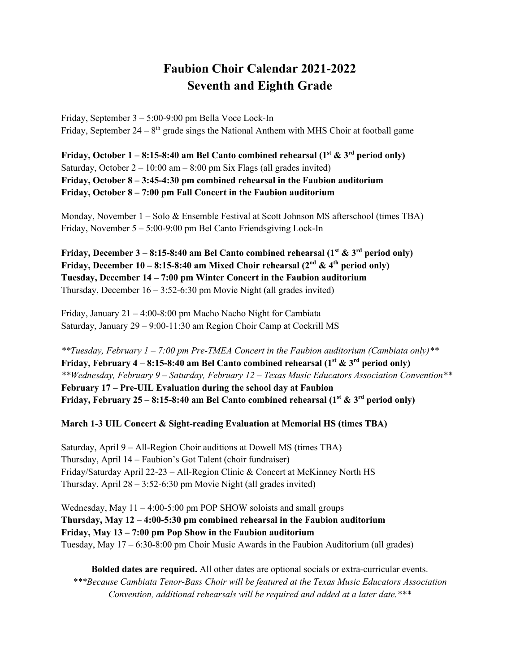## **Faubion Choir Calendar 2021-2022 Seventh and Eighth Grade**

Friday, September 3 – 5:00-9:00 pm Bella Voce Lock-In Friday, September  $24 - 8$ <sup>th</sup> grade sings the National Anthem with MHS Choir at football game

**Friday, October 1 – 8:15-8:40 am Bel Canto combined rehearsal (** $1^{st}$  **&**  $3^{rd}$  **period only)** Saturday, October  $2 - 10:00$  am  $- 8:00$  pm Six Flags (all grades invited) **Friday, October 8 – 3:45-4:30 pm combined rehearsal in the Faubion auditorium Friday, October 8 – 7:00 pm Fall Concert in the Faubion auditorium**

Monday, November 1 – Solo & Ensemble Festival at Scott Johnson MS afterschool (times TBA) Friday, November 5 – 5:00-9:00 pm Bel Canto Friendsgiving Lock-In

**Friday, December 3 – 8:15-8:40 am Bel Canto combined rehearsal (** $1<sup>st</sup>$  **&**  $3<sup>rd</sup>$  **period only) Friday, December 10 – 8:15-8:40 am Mixed Choir rehearsal**  $(2^{nd} \& 4^{th}$  **period only) Tuesday, December 14 – 7:00 pm Winter Concert in the Faubion auditorium** Thursday, December  $16 - 3:52 - 6:30$  pm Movie Night (all grades invited)

Friday, January 21 – 4:00-8:00 pm Macho Nacho Night for Cambiata Saturday, January 29 – 9:00-11:30 am Region Choir Camp at Cockrill MS

*\*\*Tuesday, February 1 – 7:00 pm Pre-TMEA Concert in the Faubion auditorium (Cambiata only)\*\** **Friday, February 4 – 8:15-8:40 am Bel Canto combined rehearsal (** $1^{st}$  **&**  $3^{rd}$  **period only)** *\*\*Wednesday, February 9 – Saturday, February 12 – Texas Music Educators Association Convention\*\** **February 17 – Pre-UIL Evaluation during the school day at Faubion Friday, February 25 – 8:15-8:40 am Bel Canto combined rehearsal (1st & 3rd period only)**

## **March 1-3 UIL Concert & Sight-reading Evaluation at Memorial HS (times TBA)**

Saturday, April 9 – All-Region Choir auditions at Dowell MS (times TBA) Thursday, April 14 – Faubion's Got Talent (choir fundraiser) Friday/Saturday April 22-23 – All-Region Clinic & Concert at McKinney North HS Thursday, April 28 – 3:52-6:30 pm Movie Night (all grades invited)

Wednesday, May  $11 - 4:00 - 5:00$  pm POP SHOW soloists and small groups **Thursday, May 12 – 4:00-5:30 pm combined rehearsal in the Faubion auditorium Friday, May 13 – 7:00 pm Pop Show in the Faubion auditorium** Tuesday, May 17 – 6:30-8:00 pm Choir Music Awards in the Faubion Auditorium (all grades)

**Bolded dates are required.** All other dates are optional socials or extra-curricular events. *\*\*\*Because Cambiata Tenor-Bass Choir will be featured at the Texas Music Educators Association Convention, additional rehearsals will be required and added at a later date.\*\*\**